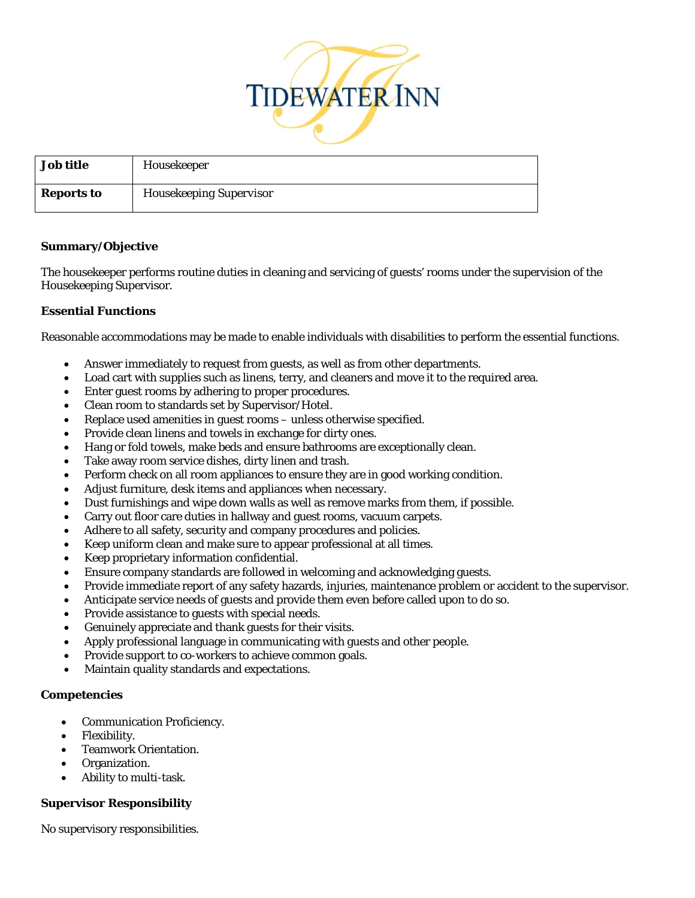

| <b>Job title</b>  | Housekeeper                    |
|-------------------|--------------------------------|
| <b>Reports to</b> | <b>Housekeeping Supervisor</b> |

## **Summary/Objective**

The housekeeper performs routine duties in cleaning and servicing of guests' rooms under the supervision of the Housekeeping Supervisor.

# **Essential Functions**

Reasonable accommodations may be made to enable individuals with disabilities to perform the essential functions.

- Answer immediately to request from guests, as well as from other departments.
- Load cart with supplies such as linens, terry, and cleaners and move it to the required area.
- Enter guest rooms by adhering to proper procedures.
- Clean room to standards set by Supervisor/Hotel.
- Replace used amenities in guest rooms unless otherwise specified.
- Provide clean linens and towels in exchange for dirty ones.
- Hang or fold towels, make beds and ensure bathrooms are exceptionally clean.
- Take away room service dishes, dirty linen and trash.
- Perform check on all room appliances to ensure they are in good working condition.
- Adjust furniture, desk items and appliances when necessary.
- Dust furnishings and wipe down walls as well as remove marks from them, if possible.
- Carry out floor care duties in hallway and guest rooms, vacuum carpets.
- Adhere to all safety, security and company procedures and policies.
- Keep uniform clean and make sure to appear professional at all times.
- Keep proprietary information confidential.
- Ensure company standards are followed in welcoming and acknowledging guests.
- Provide immediate report of any safety hazards, injuries, maintenance problem or accident to the supervisor.
- Anticipate service needs of guests and provide them even before called upon to do so.
- Provide assistance to guests with special needs.
- Genuinely appreciate and thank guests for their visits.
- Apply professional language in communicating with guests and other people.
- Provide support to co-workers to achieve common goals.
- Maintain quality standards and expectations.

### **Competencies**

- Communication Proficiency.
- Flexibility.
- Teamwork Orientation.
- Organization.
- Ability to multi-task.

# **Supervisor Responsibility**

No supervisory responsibilities.